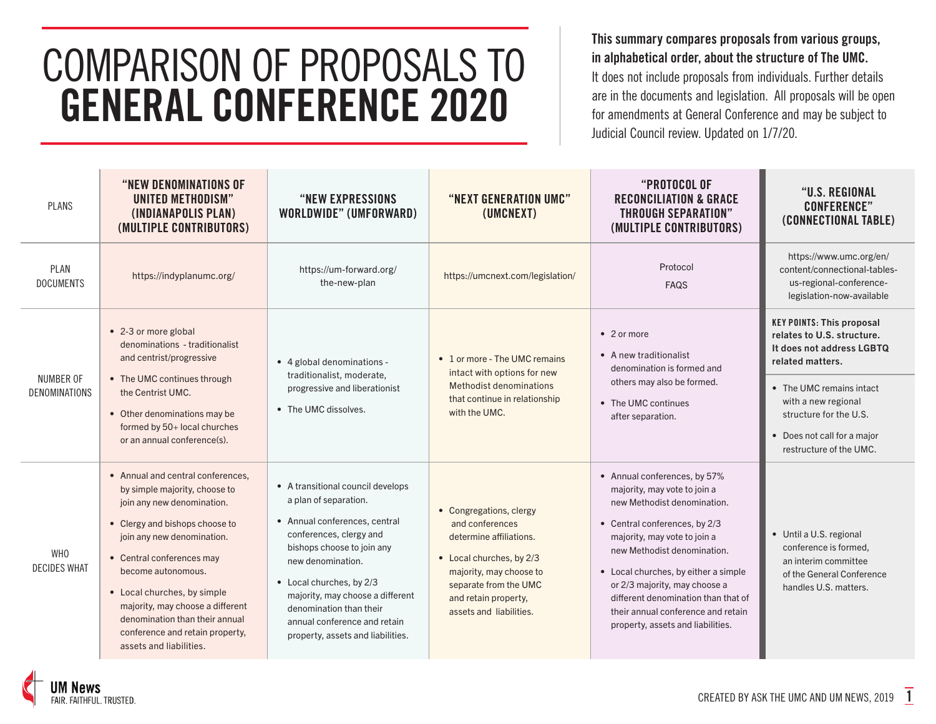## COMPARISON OF PROPOSALS TO **GENERAL CONFERENCE 2020**

**This summary compares proposals from various groups, in alphabetical order, about the structure of The UMC.** It does not include proposals from individuals. Further details are in the documents and legislation. All proposals will be open for amendments at General Conference and may be subject to Judicial Council review. Updated on 1/7/20.

| <b>PLANS</b>                             | "NEW DENOMINATIONS OF<br><b>UNITED METHODISM"</b><br>(INDIANAPOLIS PLAN)<br>(MULTIPLE CONTRIBUTORS)                                                                                                                                                                                                                                                                                    | "NEW EXPRESSIONS<br>WORLDWIDE" (UMFORWARD)                                                                                                                                                                                                                                                                                                | "NEXT GENERATION UMC"<br>(UMCNEXT)                                                                                                                                                                       | "PROTOCOL OF<br><b>RECONCILIATION &amp; GRACE</b><br><b>THROUGH SEPARATION"</b><br>(MULTIPLE CONTRIBUTORS)                                                                                                                                                                                                                                                                             | "U.S. REGIONAL<br><b>CONFERENCE"</b><br>(CONNECTIONAL TABLE)                                                                                                                                                                                           |
|------------------------------------------|----------------------------------------------------------------------------------------------------------------------------------------------------------------------------------------------------------------------------------------------------------------------------------------------------------------------------------------------------------------------------------------|-------------------------------------------------------------------------------------------------------------------------------------------------------------------------------------------------------------------------------------------------------------------------------------------------------------------------------------------|----------------------------------------------------------------------------------------------------------------------------------------------------------------------------------------------------------|----------------------------------------------------------------------------------------------------------------------------------------------------------------------------------------------------------------------------------------------------------------------------------------------------------------------------------------------------------------------------------------|--------------------------------------------------------------------------------------------------------------------------------------------------------------------------------------------------------------------------------------------------------|
| PLAN<br><b>DOCUMENTS</b>                 | https://indyplanumc.org/                                                                                                                                                                                                                                                                                                                                                               | https://um-forward.org/<br>the-new-plan                                                                                                                                                                                                                                                                                                   | https://umcnext.com/legislation/                                                                                                                                                                         | Protocol<br><b>FAQS</b>                                                                                                                                                                                                                                                                                                                                                                | https://www.umc.org/en/<br>content/connectional-tables-<br>us-regional-conference-<br>legislation-now-available                                                                                                                                        |
| <b>NUMBER OF</b><br><b>DENOMINATIONS</b> | • 2-3 or more global<br>denominations - traditionalist<br>and centrist/progressive<br>• The UMC continues through<br>the Centrist UMC.<br>• Other denominations may be<br>formed by 50+ local churches<br>or an annual conference(s).                                                                                                                                                  | • 4 global denominations -<br>traditionalist, moderate,<br>progressive and liberationist<br>• The UMC dissolves.                                                                                                                                                                                                                          | • 1 or more - The UMC remains<br>intact with options for new<br>Methodist denominations<br>that continue in relationship<br>with the UMC.                                                                | • 2 or more<br>• A new traditionalist<br>denomination is formed and<br>others may also be formed.<br>• The UMC continues<br>after separation.                                                                                                                                                                                                                                          | <b>KEY POINTS: This proposal</b><br>relates to U.S. structure.<br>It does not address LGBTQ<br>related matters.<br>• The UMC remains intact<br>with a new regional<br>structure for the U.S.<br>• Does not call for a major<br>restructure of the UMC. |
| WH <sub>0</sub><br><b>DECIDES WHAT</b>   | • Annual and central conferences.<br>by simple majority, choose to<br>join any new denomination.<br>• Clergy and bishops choose to<br>join any new denomination.<br>• Central conferences may<br>become autonomous.<br>• Local churches, by simple<br>majority, may choose a different<br>denomination than their annual<br>conference and retain property,<br>assets and liabilities. | • A transitional council develops<br>a plan of separation.<br>• Annual conferences, central<br>conferences, clergy and<br>bishops choose to join any<br>new denomination.<br>• Local churches, by 2/3<br>majority, may choose a different<br>denomination than their<br>annual conference and retain<br>property, assets and liabilities. | • Congregations, clergy<br>and conferences<br>determine affiliations.<br>• Local churches, by 2/3<br>majority, may choose to<br>separate from the UMC<br>and retain property,<br>assets and liabilities. | • Annual conferences, by 57%<br>majority, may vote to join a<br>new Methodist denomination.<br>• Central conferences, by 2/3<br>majority, may vote to join a<br>new Methodist denomination.<br>• Local churches, by either a simple<br>or 2/3 majority, may choose a<br>different denomination than that of<br>their annual conference and retain<br>property, assets and liabilities. | • Until a U.S. regional<br>conference is formed,<br>an interim committee<br>of the General Conference<br>handles U.S. matters.                                                                                                                         |

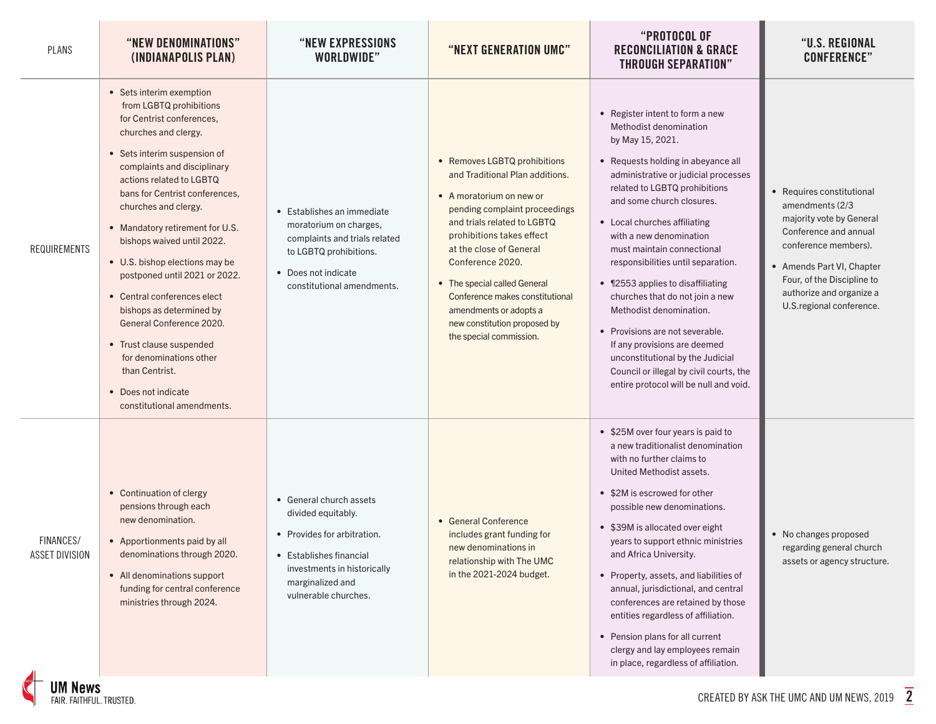| <b>PLANS</b>                              | "NEW DENOMINATIONS"<br>(INDIANAPOLIS PLAN)                                                                                                                                                                                                                                                                                                                                                                                                                                                                                                                                                                             | "NEW EXPRESSIONS<br>WORLDWIDE"                                                                                                                                                     | "NEXT GENERATION UMC"                                                                                                                                                                                                                                                                                                                                                                           | "PROTOCOL OF<br><b>RECONCILIATION &amp; GRACE</b><br><b>THROUGH SEPARATION"</b>                                                                                                                                                                                                                                                                                                                                                                                                                                                                                                                                                                         | "U.S. REGIONAL<br><b>CONFERENCE"</b>                                                                                                                                                                                                          |
|-------------------------------------------|------------------------------------------------------------------------------------------------------------------------------------------------------------------------------------------------------------------------------------------------------------------------------------------------------------------------------------------------------------------------------------------------------------------------------------------------------------------------------------------------------------------------------------------------------------------------------------------------------------------------|------------------------------------------------------------------------------------------------------------------------------------------------------------------------------------|-------------------------------------------------------------------------------------------------------------------------------------------------------------------------------------------------------------------------------------------------------------------------------------------------------------------------------------------------------------------------------------------------|---------------------------------------------------------------------------------------------------------------------------------------------------------------------------------------------------------------------------------------------------------------------------------------------------------------------------------------------------------------------------------------------------------------------------------------------------------------------------------------------------------------------------------------------------------------------------------------------------------------------------------------------------------|-----------------------------------------------------------------------------------------------------------------------------------------------------------------------------------------------------------------------------------------------|
| <b>REQUIREMENTS</b>                       | • Sets interim exemption<br>from LGBTQ prohibitions<br>for Centrist conferences,<br>churches and clergy.<br>• Sets interim suspension of<br>complaints and disciplinary<br>actions related to LGBTQ<br>bans for Centrist conferences,<br>churches and clergy.<br>• Mandatory retirement for U.S.<br>bishops waived until 2022.<br>• U.S. bishop elections may be<br>postponed until 2021 or 2022.<br>• Central conferences elect<br>bishops as determined by<br>General Conference 2020.<br>• Trust clause suspended<br>for denominations other<br>than Centrist.<br>• Does not indicate<br>constitutional amendments. | • Establishes an immediate<br>moratorium on charges,<br>complaints and trials related<br>to LGBTQ prohibitions.<br>• Does not indicate<br>constitutional amendments.               | • Removes LGBTQ prohibitions<br>and Traditional Plan additions.<br>• A moratorium on new or<br>pending complaint proceedings<br>and trials related to LGBTQ<br>prohibitions takes effect<br>at the close of General<br>Conference 2020.<br>• The special called General<br>Conference makes constitutional<br>amendments or adopts a<br>new constitution proposed by<br>the special commission. | • Register intent to form a new<br>Methodist denomination<br>by May 15, 2021.<br>• Requests holding in abeyance all<br>administrative or judicial processes<br>related to LGBTQ prohibitions<br>and some church closures.<br>• Local churches affiliating<br>with a new denomination<br>must maintain connectional<br>responsibilities until separation.<br>• ¶2553 applies to disaffiliating<br>churches that do not join a new<br>Methodist denomination.<br>• Provisions are not severable.<br>If any provisions are deemed<br>unconstitutional by the Judicial<br>Council or illegal by civil courts, the<br>entire protocol will be null and void. | • Requires constitutional<br>amendments (2/3<br>majority vote by General<br>Conference and annual<br>conference members).<br>• Amends Part VI, Chapter<br>Four, of the Discipline to<br>authorize and organize a<br>U.S. regional conference. |
| <b>FINANCES/</b><br><b>ASSET DIVISION</b> | • Continuation of clergy<br>pensions through each<br>new denomination.<br>• Apportionments paid by all<br>denominations through 2020.<br>• All denominations support<br>funding for central conference<br>ministries through 2024.                                                                                                                                                                                                                                                                                                                                                                                     | • General church assets<br>divided equitably.<br>• Provides for arbitration.<br>• Establishes financial<br>investments in historically<br>marginalized and<br>vulnerable churches. | • General Conference<br>includes grant funding for<br>new denominations in<br>relationship with The UMC<br>in the 2021-2024 budget.                                                                                                                                                                                                                                                             | • \$25M over four years is paid to<br>a new traditionalist denomination<br>with no further claims to<br>United Methodist assets.<br>• \$2M is escrowed for other<br>possible new denominations.<br>• \$39M is allocated over eight<br>years to support ethnic ministries<br>and Africa University.<br>• Property, assets, and liabilities of<br>annual, jurisdictional, and central<br>conferences are retained by those<br>entities regardless of affiliation.<br>• Pension plans for all current<br>clergy and lay employees remain<br>in place, regardless of affiliation.                                                                           | • No changes proposed<br>regarding general church<br>assets or agency structure.                                                                                                                                                              |

**UM News**<br>FAIR. FAITHFUL. TRUSTED.